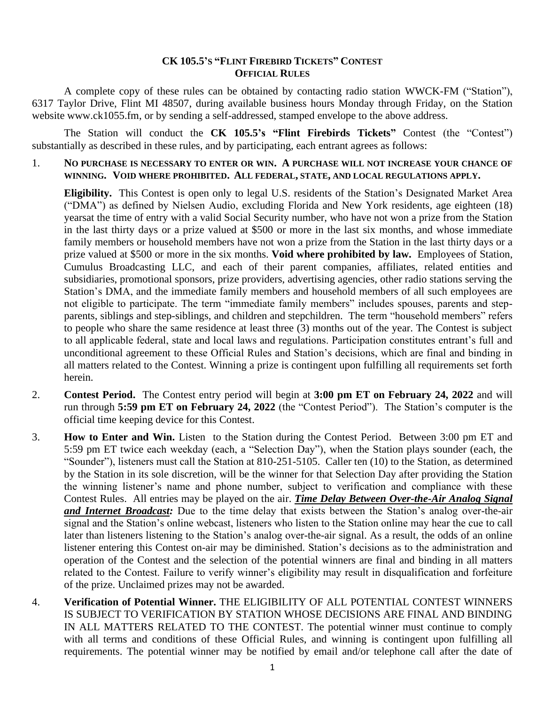## **CK 105.5'S "FLINT FIREBIRD TICKETS" CONTEST OFFICIAL RULES**

A complete copy of these rules can be obtained by contacting radio station WWCK-FM ("Station"), 6317 Taylor Drive, Flint MI 48507, during available business hours Monday through Friday, on the Station website www.ck1055.fm, or by sending a self-addressed, stamped envelope to the above address.

The Station will conduct the **CK 105.5's "Flint Firebirds Tickets"** Contest (the "Contest") substantially as described in these rules, and by participating, each entrant agrees as follows:

1. **NO PURCHASE IS NECESSARY TO ENTER OR WIN. A PURCHASE WILL NOT INCREASE YOUR CHANCE OF WINNING. VOID WHERE PROHIBITED. ALL FEDERAL, STATE, AND LOCAL REGULATIONS APPLY.**

**Eligibility.** This Contest is open only to legal U.S. residents of the Station's Designated Market Area ("DMA") as defined by Nielsen Audio, excluding Florida and New York residents, age eighteen (18) yearsat the time of entry with a valid Social Security number, who have not won a prize from the Station in the last thirty days or a prize valued at \$500 or more in the last six months, and whose immediate family members or household members have not won a prize from the Station in the last thirty days or a prize valued at \$500 or more in the six months. **Void where prohibited by law.** Employees of Station, Cumulus Broadcasting LLC, and each of their parent companies, affiliates, related entities and subsidiaries, promotional sponsors, prize providers, advertising agencies, other radio stations serving the Station's DMA, and the immediate family members and household members of all such employees are not eligible to participate. The term "immediate family members" includes spouses, parents and stepparents, siblings and step-siblings, and children and stepchildren. The term "household members" refers to people who share the same residence at least three (3) months out of the year. The Contest is subject to all applicable federal, state and local laws and regulations. Participation constitutes entrant's full and unconditional agreement to these Official Rules and Station's decisions, which are final and binding in all matters related to the Contest. Winning a prize is contingent upon fulfilling all requirements set forth herein.

- 2. **Contest Period.** The Contest entry period will begin at **3:00 pm ET on February 24, 2022** and will run through **5:59 pm ET on February 24, 2022** (the "Contest Period"). The Station's computer is the official time keeping device for this Contest.
- 3. **How to Enter and Win.** Listen to the Station during the Contest Period. Between 3:00 pm ET and 5:59 pm ET twice each weekday (each, a "Selection Day"), when the Station plays sounder (each, the "Sounder"), listeners must call the Station at 810-251-5105. Caller ten (10) to the Station, as determined by the Station in its sole discretion, will be the winner for that Selection Day after providing the Station the winning listener's name and phone number, subject to verification and compliance with these Contest Rules. All entries may be played on the air. *Time Delay Between Over-the-Air Analog Signal and Internet Broadcast:* Due to the time delay that exists between the Station's analog over-the-air signal and the Station's online webcast, listeners who listen to the Station online may hear the cue to call later than listeners listening to the Station's analog over-the-air signal. As a result, the odds of an online listener entering this Contest on-air may be diminished. Station's decisions as to the administration and operation of the Contest and the selection of the potential winners are final and binding in all matters related to the Contest. Failure to verify winner's eligibility may result in disqualification and forfeiture of the prize. Unclaimed prizes may not be awarded.
- 4. **Verification of Potential Winner.** THE ELIGIBILITY OF ALL POTENTIAL CONTEST WINNERS IS SUBJECT TO VERIFICATION BY STATION WHOSE DECISIONS ARE FINAL AND BINDING IN ALL MATTERS RELATED TO THE CONTEST. The potential winner must continue to comply with all terms and conditions of these Official Rules, and winning is contingent upon fulfilling all requirements. The potential winner may be notified by email and/or telephone call after the date of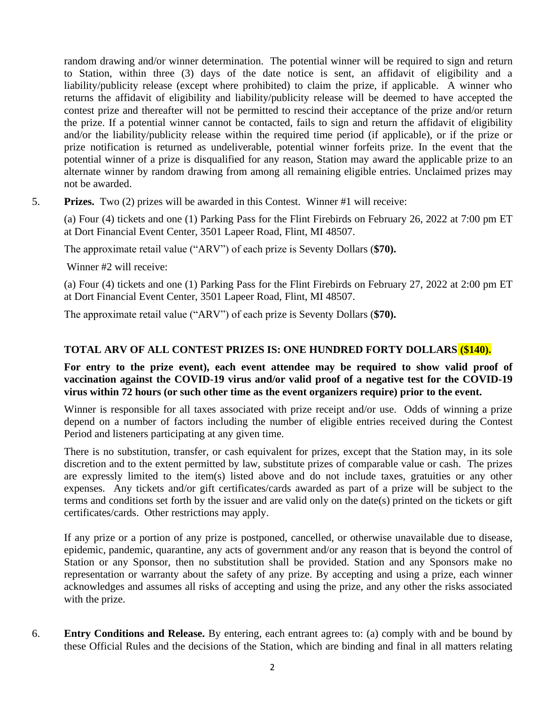random drawing and/or winner determination. The potential winner will be required to sign and return to Station, within three (3) days of the date notice is sent, an affidavit of eligibility and a liability/publicity release (except where prohibited) to claim the prize, if applicable. A winner who returns the affidavit of eligibility and liability/publicity release will be deemed to have accepted the contest prize and thereafter will not be permitted to rescind their acceptance of the prize and/or return the prize. If a potential winner cannot be contacted, fails to sign and return the affidavit of eligibility and/or the liability/publicity release within the required time period (if applicable), or if the prize or prize notification is returned as undeliverable, potential winner forfeits prize. In the event that the potential winner of a prize is disqualified for any reason, Station may award the applicable prize to an alternate winner by random drawing from among all remaining eligible entries. Unclaimed prizes may not be awarded.

5. **Prizes.** Two (2) prizes will be awarded in this Contest. Winner #1 will receive:

(a) Four (4) tickets and one (1) Parking Pass for the Flint Firebirds on February 26, 2022 at 7:00 pm ET at Dort Financial Event Center, 3501 Lapeer Road, Flint, MI 48507.

The approximate retail value ("ARV") of each prize is Seventy Dollars (**\$70).** 

Winner #2 will receive:

(a) Four (4) tickets and one (1) Parking Pass for the Flint Firebirds on February 27, 2022 at 2:00 pm ET at Dort Financial Event Center, 3501 Lapeer Road, Flint, MI 48507.

The approximate retail value ("ARV") of each prize is Seventy Dollars (**\$70).** 

## **TOTAL ARV OF ALL CONTEST PRIZES IS: ONE HUNDRED FORTY DOLLARS (\$140).**

## **For entry to the prize event), each event attendee may be required to show valid proof of vaccination against the COVID-19 virus and/or valid proof of a negative test for the COVID-19 virus within 72 hours (or such other time as the event organizers require) prior to the event.**

Winner is responsible for all taxes associated with prize receipt and/or use. Odds of winning a prize depend on a number of factors including the number of eligible entries received during the Contest Period and listeners participating at any given time.

There is no substitution, transfer, or cash equivalent for prizes, except that the Station may, in its sole discretion and to the extent permitted by law, substitute prizes of comparable value or cash. The prizes are expressly limited to the item(s) listed above and do not include taxes, gratuities or any other expenses. Any tickets and/or gift certificates/cards awarded as part of a prize will be subject to the terms and conditions set forth by the issuer and are valid only on the date(s) printed on the tickets or gift certificates/cards. Other restrictions may apply.

If any prize or a portion of any prize is postponed, cancelled, or otherwise unavailable due to disease, epidemic, pandemic, quarantine, any acts of government and/or any reason that is beyond the control of Station or any Sponsor, then no substitution shall be provided. Station and any Sponsors make no representation or warranty about the safety of any prize. By accepting and using a prize, each winner acknowledges and assumes all risks of accepting and using the prize, and any other the risks associated with the prize.

6. **Entry Conditions and Release.** By entering, each entrant agrees to: (a) comply with and be bound by these Official Rules and the decisions of the Station, which are binding and final in all matters relating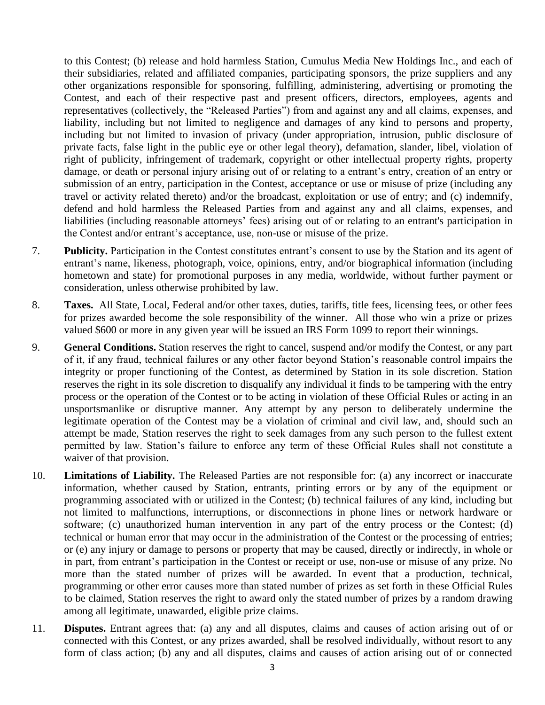to this Contest; (b) release and hold harmless Station, Cumulus Media New Holdings Inc., and each of their subsidiaries, related and affiliated companies, participating sponsors, the prize suppliers and any other organizations responsible for sponsoring, fulfilling, administering, advertising or promoting the Contest, and each of their respective past and present officers, directors, employees, agents and representatives (collectively, the "Released Parties") from and against any and all claims, expenses, and liability, including but not limited to negligence and damages of any kind to persons and property, including but not limited to invasion of privacy (under appropriation, intrusion, public disclosure of private facts, false light in the public eye or other legal theory), defamation, slander, libel, violation of right of publicity, infringement of trademark, copyright or other intellectual property rights, property damage, or death or personal injury arising out of or relating to a entrant's entry, creation of an entry or submission of an entry, participation in the Contest, acceptance or use or misuse of prize (including any travel or activity related thereto) and/or the broadcast, exploitation or use of entry; and (c) indemnify, defend and hold harmless the Released Parties from and against any and all claims, expenses, and liabilities (including reasonable attorneys' fees) arising out of or relating to an entrant's participation in the Contest and/or entrant's acceptance, use, non-use or misuse of the prize.

- 7. **Publicity.** Participation in the Contest constitutes entrant's consent to use by the Station and its agent of entrant's name, likeness, photograph, voice, opinions, entry, and/or biographical information (including hometown and state) for promotional purposes in any media, worldwide, without further payment or consideration, unless otherwise prohibited by law.
- 8. **Taxes.** All State, Local, Federal and/or other taxes, duties, tariffs, title fees, licensing fees, or other fees for prizes awarded become the sole responsibility of the winner. All those who win a prize or prizes valued \$600 or more in any given year will be issued an IRS Form 1099 to report their winnings.
- 9. **General Conditions.** Station reserves the right to cancel, suspend and/or modify the Contest, or any part of it, if any fraud, technical failures or any other factor beyond Station's reasonable control impairs the integrity or proper functioning of the Contest, as determined by Station in its sole discretion. Station reserves the right in its sole discretion to disqualify any individual it finds to be tampering with the entry process or the operation of the Contest or to be acting in violation of these Official Rules or acting in an unsportsmanlike or disruptive manner. Any attempt by any person to deliberately undermine the legitimate operation of the Contest may be a violation of criminal and civil law, and, should such an attempt be made, Station reserves the right to seek damages from any such person to the fullest extent permitted by law. Station's failure to enforce any term of these Official Rules shall not constitute a waiver of that provision.
- 10. **Limitations of Liability.** The Released Parties are not responsible for: (a) any incorrect or inaccurate information, whether caused by Station, entrants, printing errors or by any of the equipment or programming associated with or utilized in the Contest; (b) technical failures of any kind, including but not limited to malfunctions, interruptions, or disconnections in phone lines or network hardware or software; (c) unauthorized human intervention in any part of the entry process or the Contest; (d) technical or human error that may occur in the administration of the Contest or the processing of entries; or (e) any injury or damage to persons or property that may be caused, directly or indirectly, in whole or in part, from entrant's participation in the Contest or receipt or use, non-use or misuse of any prize. No more than the stated number of prizes will be awarded. In event that a production, technical, programming or other error causes more than stated number of prizes as set forth in these Official Rules to be claimed, Station reserves the right to award only the stated number of prizes by a random drawing among all legitimate, unawarded, eligible prize claims.
- 11. **Disputes.** Entrant agrees that: (a) any and all disputes, claims and causes of action arising out of or connected with this Contest, or any prizes awarded, shall be resolved individually, without resort to any form of class action; (b) any and all disputes, claims and causes of action arising out of or connected